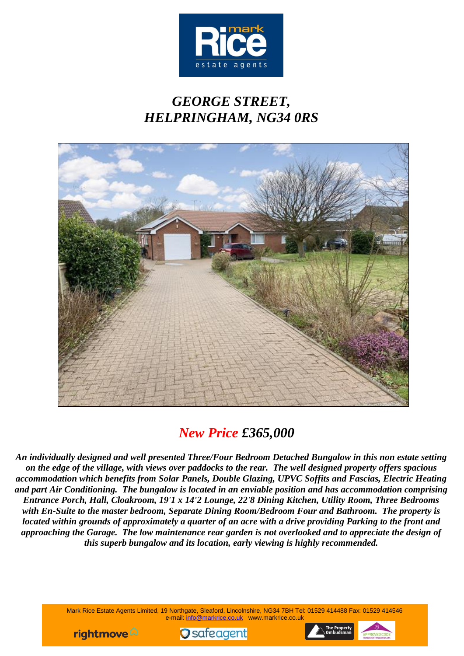

# *GEORGE STREET, HELPRINGHAM, NG34 0RS*



# *New Price £365,000*

*An individually designed and well presented Three/Four Bedroom Detached Bungalow in this non estate setting on the edge of the village, with views over paddocks to the rear. The well designed property offers spacious accommodation which benefits from Solar Panels, Double Glazing, UPVC Soffits and Fascias, Electric Heating and part Air Conditioning. The bungalow is located in an enviable position and has accommodation comprising Entrance Porch, Hall, Cloakroom, 19'1 x 14'2 Lounge, 22'8 Dining Kitchen, Utility Room, Three Bedrooms with En-Suite to the master bedroom, Separate Dining Room/Bedroom Four and Bathroom. The property is located within grounds of approximately a quarter of an acre with a drive providing Parking to the front and approaching the Garage. The low maintenance rear garden is not overlooked and to appreciate the design of this superb bungalow and its location, early viewing is highly recommended.*

> Mark Rice Estate Agents Limited, 19 Northgate, Sleaford, Lincolnshire, NG34 7BH Tel: 01529 414488 Fax: 01529 414546 e-mail: info@markrice.co.uk www.markrice.co.uk





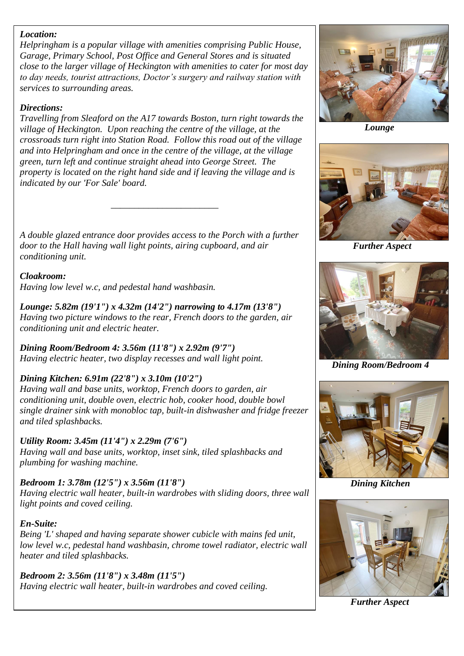#### *Location:*

*Helpringham is a popular village with amenities comprising Public House, Garage, Primary School, Post Office and General Stores and is situated close to the larger village of Heckington with amenities to cater for most day to day needs, tourist attractions, Doctor's surgery and railway station with services to surrounding areas.*

#### *Directions:*

*Travelling from Sleaford on the A17 towards Boston, turn right towards the village of Heckington. Upon reaching the centre of the village, at the crossroads turn right into Station Road. Follow this road out of the village and into Helpringham and once in the centre of the village, at the village green, turn left and continue straight ahead into George Street. The property is located on the right hand side and if leaving the village and is indicated by our 'For Sale' board.*

*A double glazed entrance door provides access to the Porch with a further door to the Hall having wall light points, airing cupboard, and air conditioning unit.*

*\_\_\_\_\_\_\_\_\_\_\_\_\_\_\_\_\_\_\_\_\_\_\_*

#### *Cloakroom: Having low level w.c, and pedestal hand washbasin.*

*Lounge: 5.82m (19'1") x 4.32m (14'2") narrowing to 4.17m (13'8") Having two picture windows to the rear, French doors to the garden, air conditioning unit and electric heater.*

*Dining Room/Bedroom 4: 3.56m (11'8") x 2.92m (9'7") Having electric heater, two display recesses and wall light point.*

# *Dining Kitchen: 6.91m (22'8") x 3.10m (10'2")*

*Having wall and base units, worktop, French doors to garden, air conditioning unit, double oven, electric hob, cooker hood, double bowl single drainer sink with monobloc tap, built-in dishwasher and fridge freezer and tiled splashbacks.*

# *Utility Room: 3.45m (11'4") x 2.29m (7'6")*

*Having wall and base units, worktop, inset sink, tiled splashbacks and plumbing for washing machine.*

# *Bedroom 1: 3.78m (12'5") x 3.56m (11'8")*

*Having electric wall heater, built-in wardrobes with sliding doors, three wall light points and coved ceiling.*

# *En-Suite:*

*Being 'L' shaped and having separate shower cubicle with mains fed unit, low level w.c, pedestal hand washbasin, chrome towel radiator, electric wall heater and tiled splashbacks.*

*Bedroom 2: 3.56m (11'8") x 3.48m (11'5") Having electric wall heater, built-in wardrobes and coved ceiling.*



*Lounge*



*Further Aspect*



 *Dining Room/Bedroom 4*



*Dining Kitchen*



*Further Aspect*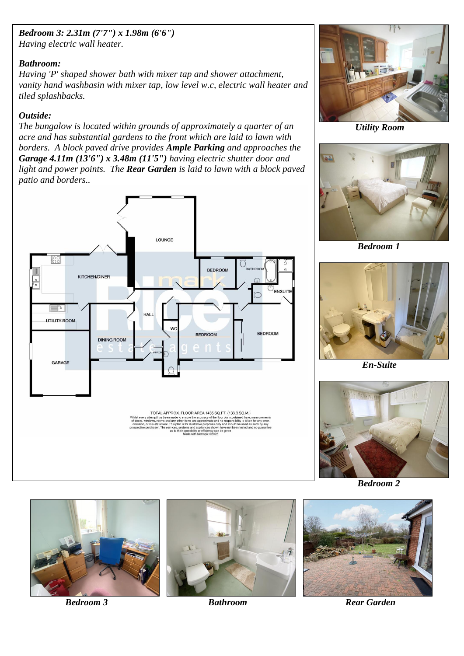#### *Bedroom 3: 2.31m (7'7") x 1.98m (6'6") Having electric wall heater.*

#### *Bathroom:*

*Having 'P' shaped shower bath with mixer tap and shower attachment, vanity hand washbasin with mixer tap, low level w.c, electric wall heater and tiled splashbacks.*

# *Outside:*

*The bungalow is located within grounds of approximately a quarter of an acre and has substantial gardens to the front which are laid to lawn with borders. A block paved drive provides Ample Parking and approaches the Garage 4.11m (13'6") x 3.48m (11'5") having electric shutter door and light and power points. The Rear Garden is laid to lawn with a block paved patio and borders..*





 *Utility Room*



 *Bedroom 1*



 *En-Suite*



*Bedroom 2*





*Bedroom 3 Bathroom* **<b>Bathroom Rear Garden**